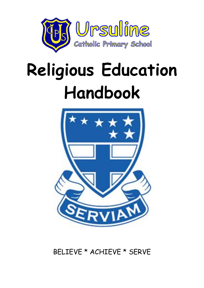

# **Religious Education Handbook**



BELIEVE \* ACHIEVE \* SERVE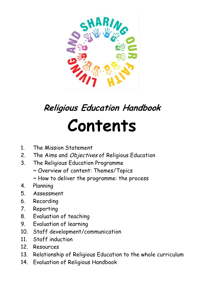

## **Religious Education Handbook Contents**

- 1. The Mission Statement
- 2. The Aims and Objectives of Religious Education
- 3. The Religious Education Programme
	- ~ Overview of content: Themes/Topics
	- ~ How to deliver the programme: the process
- 4. Planning
- 5. Assessment
- 6. Recording
- 7. Reporting
- 8. Evaluation of teaching
- 9. Evaluation of learning
- 10. Staff development/communication
- 11 Staff induction
- 12. Resources
- 13. Relationship of Religious Education to the whole curriculum
- 14. Evaluation of Religious Handbook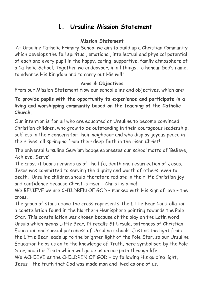## **1. Ursuline Mission Statement**

#### **Mission Statement**

'At Ursuline Catholic Primary School we aim to build up a Christian Community which develops the full spiritual, emotional, intellectual and physical potential of each and every pupil in the happy, caring, supportive, family atmosphere of a Catholic School. Together we endeavour, in all things, to honour God's name, to advance His Kingdom and to carry out His will.'

#### **Aims & Objectives**

From our Mission Statement flow our school aims and objectives, which are:

**To provide pupils with the opportunity to experience and participate in a living and worshipping community based on the teaching of the Catholic Church.**

Our intention is for all who are educated at Ursuline to become convinced Christian children, who grow to be outstanding in their courageous leadership, selfless in their concern for their neighbour and who display joyous peace in their lives, all springing from their deep faith in the risen Christ!

The universal Ursuline Serviam badge expresses our school motto of 'Believe, Achieve, Serve':

The cross it bears reminds us of the life, death and resurrection of Jesus. Jesus was committed to serving the dignity and worth of others, even to death. Ursuline children should therefore radiate in their life Christian joy and confidence because Christ is risen - Christ is alive!

We BELIEVE we are CHILDREN OF GOD – marked with His sign of love – the cross.

The group of stars above the cross represents The Little Bear Constellation a constellation found in the Northern Hemisphere pointing towards the Pole Star. This constellation was chosen because of the play on the Latin word Ursula which means Little Bear. It recalls St Ursula, patroness of Christian Education and special patroness of Ursuline schools. Just as the light from the Little Bear leads up to the brighter light of the Pole Star, so our Ursuline Education helps us on to the knowledge of Truth, here symbolised by the Pole Star, and it is Truth which will guide us on our path through life. We ACHIEVE as the CHILDREN OF GOD - by following His guiding light, Jesus – the truth that God was made man and lived as one of us.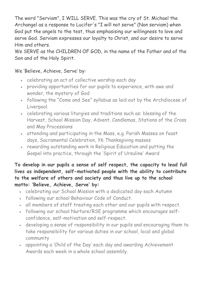The word "Serviam", I WILL SERVE. This was the cry of St. Michael the Archangel as a response to Lucifer's "I will not serve" (Non serviam) when God put the angels to the test, thus emphasising our willingness to love and serve God. Serviam expresses our loyalty to Christ, and our desire to serve Him and others.

We SERVE as the CHILDREN OF GOD, in the name of the Father and of the Son and of the Holy Spirit.

#### We 'Believe, Achieve, Serve' by:

- celebrating an act of collective worship each day
- providing opportunities for our pupils to experience, with awe and wonder, the mystery of God
- following the "Come and See" syllabus as laid out by the Archdiocese of Liverpool.
- celebrating various liturgies and traditions such as: blessing of the Harvest, School Mission Day, Advent, Candlemas, Stations of the Cross and May Processions
- attending and participating in the Mass, e.g. Parish Masses on feast days, Sacramental Celebration, Y6 Thanksgiving masses
- rewarding outstanding work in Religious Education and putting the Gospel into practice, through the 'Spirit of Ursuline' Award

**To develop in our pupils a sense of self respect, the capacity to lead full lives as independent, self-motivated people with the ability to contribute to the welfare of others and society and thus live up to the school motto: 'Believe, Achieve, Serve' by:**

- celebrating our School Mission with a dedicated day each Autumn
- following our school Behaviour Code of Conduct.
- all members of staff treating each other and our pupils with respect.
- following our school Nurture/RSE programme which encourages selfconfidence, self-motivation and self-respect.
- developing a sense of responsibility in our pupils and encouraging them to take responsibility for various duties in our school, local and global community
- appointing a 'Child of the Day' each day and awarding Achievement Awards each week in a whole school assembly.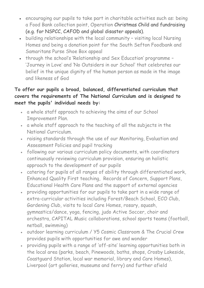- encouraging our pupils to take part in charitable activities such as: being a Food Bank collection point, Operation Christmas Child and fundraising (e.g. for NSPCC, CAFOD and global disaster appeals).
- building relationships with the local community visiting local Nursing Homes and being a donation point for the South Sefton Foodbank and Samaritans Purse Shoe Box appeal
- through the school's 'Relationship and Sex Education' programme 'Journey in Love' and 'No Outsiders in our School' that celebrates our belief in the unique dignity of the human person as made in the image and likeness of God

#### **To offer our pupils a broad, balanced, differentiated curriculum that covers the requirements of The National Curriculum and is designed to meet the pupils' individual needs by:**

- a whole staff approach to achieving the aims of our School Improvement Plan.
- a whole staff approach to the teaching of all the subjects in the National Curriculum.
- raising standards through the use of our Monitoring, Evaluation and Assessment Policies and pupil tracking
- following our various curriculum policy documents, with coordinators continuously reviewing curriculum provision, ensuring an holistic approach to the development of our pupils
- catering for pupils of all ranges of ability through differentiated work, Enhanced Quality First teaching, Records of Concern, Support Plans, Educational Health Care Plans and the support of external agencies
- providing opportunities for our pupils to take part in a wide range of extra-curricular activities including Forest/Beach School, ECO Club, Gardening Club, visits to local Care Homes, rosary, squash, gymnastics/dance, yoga, fencing, judo Active Soccer, choir and orchestra, CAPITAL Music collaborations, school sports teams (football, netball, swimming)
- outdoor learning curriculum / Y5 Cosmic Classroom & The Crucial Crew provides pupils with opportunities for awe and wonder
- providing pupils with a range of 'off-site' learning opportunities both in the local area (parks, beach, Pinewoods, baths, shops, Crosby Lakeside, Coastguard Station, local war memorial, library and Care Homes), Liverpool (art galleries, museums and ferry) and further afield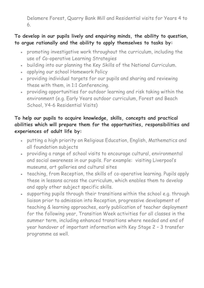Delamere Forest, Quarry Bank Mill and Residential visits for Years 4 to 6.

#### **To develop in our pupils lively and enquiring minds, the ability to question, to argue rationally and the ability to apply themselves to tasks by:**

- promoting investigative work throughout the curriculum, including the use of Co-operative Learning Strategies
- building into our planning the Key Skills of the National Curriculum.
- applying our school Homework Policy
- providing individual targets for our pupils and sharing and reviewing these with them, in 1:1 Conferencing.
- providing opportunities for outdoor learning and risk taking within the environment (e.g. Early Years outdoor curriculum, Forest and Beach School, Y4-6 Residential Visits)

#### **To help our pupils to acquire knowledge, skills, concepts and practical abilities which will prepare them for the opportunities, responsibilities and experiences of adult life by:**

- putting a high priority on Religious Education, English, Mathematics and all foundation subjects
- providing a range of school visits to encourage cultural, environmental and social awareness in our pupils. For example: visiting Liverpool's museums, art galleries and cultural sites
- teaching, from Reception, the skills of co-operative learning. Pupils apply these in lessons across the curriculum, which enables them to develop and apply other subject specific skills.
- supporting pupils through their transitions within the school e.g. through liaison prior to admission into Reception, progressive development of teaching & learning approaches, early publication of teacher deployment for the following year, Transition Week activities for all classes in the summer term, including enhanced transitions where needed and end of year handover of important information with Key Stage 2 – 3 transfer programme as well.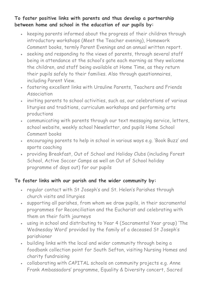**To foster positive links with parents and thus develop a partnership between home and school in the education of our pupils by:**

- keeping parents informed about the progress of their children through introductory workshops (Meet the Teacher evening), Homework Comment books, termly Parent Evenings and an annual written report.
- . seeking and responding to the views of parents, through several staff being in attendance at the school's gate each morning as they welcome the children, and staff being available at Home Time, as they return their pupils safely to their families. Also through questionnaires, including Parent View.
- fostering excellent links with Ursuline Parents, Teachers and Friends Association
- inviting parents to school activities, such as, our celebrations of various liturgies and traditions, curriculum workshops and performing arts productions
- communicating with parents through our text messaging service, letters, school website, weekly school Newsletter, and pupils Home School Comment books
- encouraging parents to help in school in various ways e.g. 'Book Buzz' and sports coaching
- providing Breakfast, Out of School and Holiday Clubs (including Forest School, Active Soccer Camps as well an Out of School holiday programme of days out) for our pupils

#### **To foster links with our parish and the wider community by:**

- regular contact with St Joseph's and St. Helen's Parishes through church visits and liturgies
- supporting all parishes, from whom we draw pupils, in their sacramental programmes for Reconciliation and the Eucharist and celebrating with them on their faith journeys
- using in school and distributing to Year 4 (Sacramental Year group) 'The Wednesday Word' provided by the family of a deceased St Joseph's parishioner
- building links with the local and wider community through being a foodbank collection point for South Sefton, visiting Nursing Homes and charity fundraising
- collaborating with CAPITAL schools on community projects e.g. Anne Frank Ambassadors' programme, Equality & Diversity concert, Sacred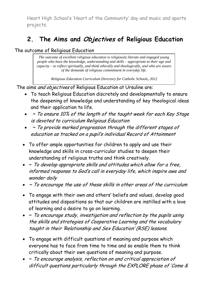Heart High School's 'Heart of the Community' day and music and sports projects.

## **2. The Aims and Objectives of Religious Education**

The outcome of Religious Education

*The outcome of excellent religious education is religiously literate and engaged young people who have the knowledge, understanding and skills – appropriate to their age and capacity – to reflect spiritually, and think ethically and theologically, and who are aware of the demands of religious commitment in everyday life.*

*Religious Education Curriculum Directory for Catholic Schools, 2012*

The aims and objectives of Religious Education at Ursuline are:

- To teach Religious Education discretely and developmentally to ensure the deepening of knowledge and understanding of key theological ideas and their application to life.
- $\bullet$   $\sim$  To ensure 10% of the length of the taught week for each Key Stage is devoted to curriculum Religious Education
- $\bullet$   $\sim$  To provide marked progression through the different stages of education as tracked on a pupil's individual Record of Attainment
- To offer ample opportunities for children to apply and use their knowledge and skills in cross-curricular studies to deepen their understanding of religious truths and think creatively.
- $\bullet$   $\sim$  To develop appropriate skills and attitudes which allow for a free, informed response to God's call in everyday life, which inspire awe and wonder daily
- $\bullet$   $\sim$  To encourage the use of these skills in other areas of the curriculum
- To engage with their own and others' beliefs and values, develop good attitudes and dispositions so that our children are instilled with a love of learning and a desire to go on learning.
- $\bullet$   $\sim$  To encourage study, investigation and reflection by the pupils using the skills and strategies of Cooperative Learning and the vocabulary taught in their 'Relationship and Sex Education' (RSE) lessons.
- To engage with difficult questions of meaning and purpose which everyone has to face from time to time and so enable them to think critically about their own questions of meaning and purpose.
- $\bullet \sim$  To encourage analysis, reflection on and critical appreciation of difficult questions particularly through the EXPLORE phase of 'Come &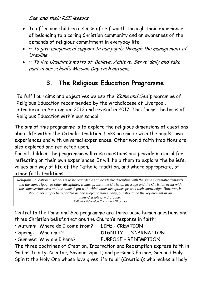See' and their RSE lessons.

- To offer our children a sense of self worth through their experience of belonging to a caring Christian community and an awareness of the demands of religious commitment in everyday life
- $\bullet \sim$  To give unequivocal support to our pupils through the management of Ursuline
- ~ To live Ursuline's motto of 'Believe, Achieve, Serve' daily and take part in our school's Mission Day each autumn.

## **3. The Religious Education Programme**

To fulfil our aims and objectives we use the 'Come and See' programme of Religious Education recommended by the Archdiocese of Liverpool, introduced in September 2012 and revised in 2017. This forms the basis of Religious Education within our school.

The aim of this programme is to explore the religious dimensions of questions about life within the Catholic tradition. Links are made with the pupils' own experiences and with universal experiences. Other world faith traditions are also explored and reflected upon.

For all children the programme will raise questions and provide material for reflecting on their own experiences. It will help them to explore the beliefs, values and way of life of the Catholic tradition, and where appropriate, of other faith traditions.

- *Religious Education in schools is to be regarded as an academic discipline with the same systematic demands and the same rigour as other disciplines. It must present the Christian message and the Christian event with the same seriousness and the same depth with which other disciplines present their knowledge. However, it should not simply be regarded as one subject among many, but should be the key element in an inter-disciplinary dialogue.*

*Religious Education Curriculum Directory*

Central to the Come and See programme are three basic human questions and three Christian beliefs that are the Church's response in faith:

- Autumn: Where do I come from? LIFE CREATION
- 

• Summer: Why am I here? PURPOSE - REDEMPTION

• Spring: Who am I? DIGNITY - INCARNATION

The three doctrines of Creation, Incarnation and Redemption express faith in God as Trinity: Creator, Saviour, Spirit; and personal: Father, Son and Holy Spirit: the Holy One whose love gives life to all (Creation); who makes all holy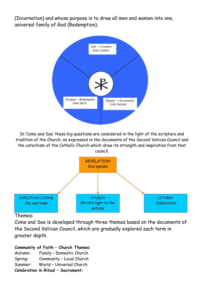(Incarnation) and whose purpose is to draw all men and women into one, universal family of God (Redemption).



In 'Come and See' these big questions are considered in the light of the scripture and tradition of the Church, as expressed in the documents of the Second Vatican Council and the catechism of the Catholic Church which drew its strength and inspiration from that council.



#### Themes:

Come and See is developed through three themes based on the documents of the Second Vatican Council, which are gradually explored each term in greater depth.

#### **Community of Faith – Church Themes:**

Autumn: Family – Domestic Church Spring: Community – Local Church Summer: World – Universal Church **Celebration in Ritual – Sacrament:**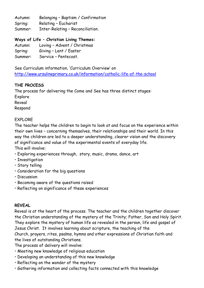Autumn: Belonging – Baptism / Confirmation Spring: Relating – Eucharist Summer: Inter-Relating – Reconciliation.

#### **Ways of Life – Christian Living Themes:**

Autumn: Loving – Advent / Christmas Spring: Giving – Lent / Easter Summer: Service – Pentecost.

See Curriculum information, 'Curriculum Overview' on <http://www.ursulineprimary.co.uk/information/catholic-life-of-the-school>

#### **THE PROCESS**

The process for delivering the Come and See has three distinct stages:

Explore Reveal

Respond

#### EXPLORE

The teacher helps the children to begin to look at and focus on the experience within their own lives – concerning themselves, their relationships and their world. In this way the children are led to a deeper understanding, clearer vision and the discovery of significance and value of the experimental events of everyday life. This will involve:

- Exploring experiences through, story, music, drama, dance, art
- Investigation
- Story telling
- Consideration for the big questions
- Discussion
- Becoming aware of the questions raised
- Reflecting on significance of these experiences

#### **REVEAL**

Reveal is at the heart of the process. The teacher and the children together discover the Christian understanding of the mystery of the Trinity; Father, Son and Holy Spirit. They explore the mystery of human life as revealed in the person, life and gospel of Jesus Christ. It involves learning about scripture, the teaching of the Church, prayers, rites, psalms, hymns and other expressions of Christian faith and the lives of outstanding Christians.

The process of delivery will involve:

- Meeting new knowledge of religious education
- Developing an understanding of this new knowledge
- Reflecting on the wonder of the mystery
- Gathering information and collecting facts connected with this knowledge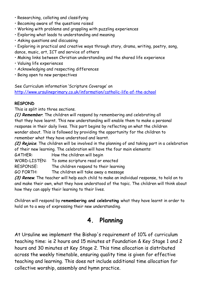- Researching, collating and classifying
- Becoming aware of the questions raised
- Working with problems and grappling with puzzling experiences
- Exploring what leads to understanding and meaning
- Asking questions and discussing
- Exploring in practical and creative ways through story, drama, writing, poetry, song, dance, music, art, ICT and service of others
- Making links between Christian understanding and the shared life experience
- Valuing life experiences
- Acknowledging and respecting differences
- Being open to new perspectives

See Curriculum information 'Scripture Coverage' on <http://www.ursulineprimary.co.uk/information/catholic-life-of-the-school>

#### **RESPOND**

This is split into three sections.

**(1) Remember**. The children will respond by remembering and celebrating all that they have learnt. This new understanding will enable them to make a personal response in their daily lives. This part begins by reflecting on what the children wonder about. This is followed by providing the opportunity for the children to remember what they have understood and learnt.

**(2) Rejoice**. The children will be involved in the planning of and taking part in a celebration of their new learning. The celebration will have the four main elements:

GATHER: How the children will begin

WORD-LISTEN: To some scripture read or enacted

RESPONSE: The children respond to their learning

GO FORTH: The children will take away a message

**(3) Renew**. The teacher will help each child to make an individual response, to hold on to and make their own, what they have understood of the topic. The children will think about how they can apply their learning to their lives.

Children will respond by **remembering and celebrating** what they have learnt in order to hold on to a way of expressing their new understanding.

### **4. Planning**

At Ursuline we implement the Bishop's requirement of 10% of curriculum teaching time: ie 2 hours and 15 minutes at Foundation & Key Stage 1 and 2 hours and 30 minutes at Key Stage 2. This time allocation is distributed across the weekly timetable, ensuring quality time is given for effective teaching and learning. This does not include additional time allocation for collective worship, assembly and hymn practice.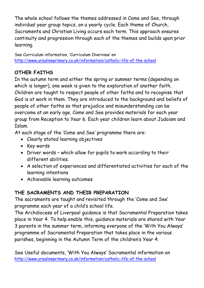The whole school follows the themes addressed in Come and See, through individual year group topics, on a yearly cycle. Each theme of Church, Sacraments and Christian Living occurs each term. This approach ensures continuity and progression through each of the themes and builds upon prior learning.

See Curriculum information, 'Curriculum Overview' on <http://www.ursulineprimary.co.uk/information/catholic-life-of-the-school>

#### **OTHER FAITHS**

In the autumn term and either the spring or summer terms (depending on which is longer), one week is given to the exploration of another faith. Children are taught to respect people of other faiths and to recognise that God is at work in them. They are introduced to the background and beliefs of people of other faiths so that prejudice and misunderstanding can be overcome at an early age. Come and See provides materials for each year group from Reception to Year 6. Each year children learn about Judaism and Islam.

At each stage of the 'Come and See' programme there are:

- Clearly stated learning objectives
- Key words
- Driver words which allow for pupils to work according to their different abilities.
- A selection of experiences and differentiated activities for each of the learning intentions
- Achievable learning outcomes

#### **THE SACRAMENTS AND THEIR PREPARATION**

The sacraments are taught and revisited through the 'Come and See' programme each year of a child's school life.

The Archdiocese of Liverpool guidance is that Sacramental Preparation takes place in Year 4. To help enable this, guidance materials are shared with Year 3 parents in the summer term, informing everyone of the 'With You Always' programme of Sacramental Preparation that takes place in the various parishes, beginning in the Autumn Term of the children's Year 4.

See Useful documents, 'With You Always' Sacramental information on <http://www.ursulineprimary.co.uk/information/catholic-life-of-the-school>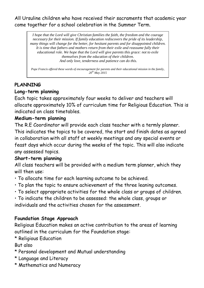All Ursuline children who have received their sacraments that academic year come together for a school celebration in the Summer Term.

*I hope that the Lord will give Christian families the faith, the freedom and the courage necessary for their mission. If family education rediscovers the pride of its leadership, many things will change for the better, for hesitant parents and for disappointed children. It is time that fathers and mothers return from their exile and reassume fully their educational role. We hope that the Lord will give parents this grace: not to exile themselves from the education of their children. And only love, tenderness and patience can do this.*

*Pope Francis offered these words of encouragement for parents and their educational mission in the family, 20th May 2015*

#### **PLANNING**

#### **Long-term planning**

Each topic takes approximately four weeks to deliver and teachers will allocate approximately 10% of curriculum time for Religious Education. This is indicated on class timetables.

#### **Medium-term planning**

The R.E Coordinator will provide each class teacher with a termly planner. This indicates the topics to be covered, the start and finish dates as agreed in collaboration with all staff at weekly meetings and any special events or feast days which occur during the weeks of the topic. This will also indicate any assessed topics.

#### **Short-term planning**

All class teachers will be provided with a medium term planner, which they will then use:

- To allocate time for each learning outcome to be achieved.
- To plan the topic to ensure achievement of the three leaning outcomes.
- To select appropriate activities for the whole class or groups of children.
- To indicate the children to be assessed: the whole class, groups or individuals and the activities chosen for the assessment.

#### **Foundation Stage Approach**

Religious Education makes an active contribution to the areas of learning outlined in the curriculum for the Foundation stage:

\* Religious Education

But also

- \* Personal development and Mutual understanding
- \* Language and Literacy
- \* Mathematics and Numeracy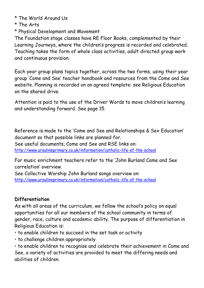- \* The World Around Us
- \* The Arts
- \* Physical Development and Movement

The Foundation stage classes have RE Floor Books, complemented by their Learning Journeys, where the children's progress is recorded and celebrated. Teaching takes the form of whole class activities, adult directed group work and continuous provision.

Each year group plans topics together, across the two forms, using their year group 'Come and See' teacher handbook and resources from the Come and See website. Planning is recorded on an agreed template: see Religious Education on the shared drive.

Attention is paid to the use of the Driver Words to move children's learning and understanding forward. See page 15.

Reference is made to the 'Come and See and Relationships & Sex Education' document so that possible links are planned for.

See useful documents, Come and See and RSE links on: <http://www.ursulineprimary.co.uk/information/catholic-life-of-the-school>

For music enrichment teachers refer to the 'John Burland Come and See correlation' overview.

See Collective Worship John Burland songs overview on: <http://www.ursulineprimary.co.uk/information/catholic-life-of-the-school>

#### **Differentiation**

As with all areas of the curriculum, we follow the school's policy on equal opportunities for all our members of the school community in terms of gender, race, culture and academic ability. The purpose of differentiation in Religious Education is:

- to enable children to succeed in the set task or activity
- to challenge children appropriately

• to enable children to recognise and celebrate their achievement in Come and See, a variety of activities are provided to meet the differing needs and abilities of children.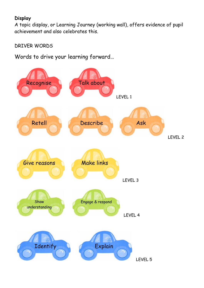#### **Display**

A topic display, or Learning Journey (working wall), offers evidence of pupil achievement and also celebrates this.

#### DRIVER WORDS

Words to drive your learning forward…

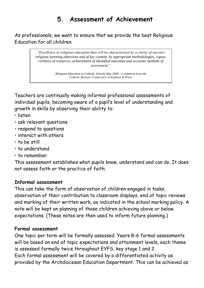## **5. Assessment of Achievement**

As professionals, we want to ensure that we provide the best Religious Education for all children.

> *"Excellence in religious education then will be characterised by a clarity of succinct religious learning objectives and of key content, by appropriate methodologies, rigour, richness of resources, achievement of identified outcomes and accurate methods of assessment".*

> > *Religious Education in Catholic Schools May 2000 - a statement from the Catholic Bishops' Conference of England & Wales*

Teachers are continually making informal professional assessments of individual pupils, becoming aware of a pupil's level of understanding and growth in skills by observing their ability to:

- listen
- ask relevant questions
- respond to questions
- interact with others
- to be still
- to understand
- to remember

This assessment establishes what pupils know, understand and can do. It does not assess faith or the practice of faith.

#### **Informal assessment**

This can take the form of observation of children engaged in tasks, observation of their contribution to classroom displays, end of topic reviews and marking of their written work, as indicated in the school marking policy. A note will be kept on planning of those children achieving above or below expectations. (These notes are then used to inform future planning.)

#### **Formal assessment**

One topic per term will be formally assessed. Years R-6 formal assessments will be based on end of topic expectations and attainment levels, each theme is assessed formally twice throughout EYFS, key stage 1 and 2. Each formal assessment will be covered by a differentiated activity as provided by the Archdiocesan Education Department. This can be achieved as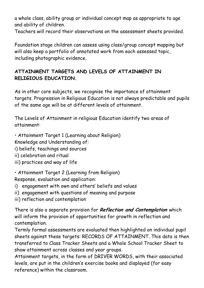a whole class, ability group or individual concept map as appropriate to age and ability of children.

Teachers will record their observations on the assessment sheets provided.

Foundation stage children can assess using class/group concept mapping but will also keep a portfolio of annotated work from each assessed topic, including photographic evidence.

#### **ATTAINMENT TARGETS AND LEVELS OF ATTAINMENT IN RELIGIOUS EDUCATION.**

As in other core subjects, we recognise the importance of attainment targets. Progression in Religious Education is not always predictable and pupils of the same age will be at different levels of attainment.

The Levels of Attainment in religious Education identify two areas of attainment:

• Attainment Target 1 (Learning about Religion)

Knowledge and Understanding of:

- i) beliefs, teachings and sources
- ii) celebration and ritual
- iii) practices and way of life

• Attainment Target 2 (Learning from Religion)

Response, evaluation and application:

- i) engagement with own and others' beliefs and values
- ii) engagement with questions of meaning and purpose
- iii) reflection and contemplation

There is also a separate provision for **Reflection and Contemplation** which will inform the provision of opportunities for growth in reflection and contemplation.

Termly formal assessments are evaluated then highlighted on individual pupil sheets against these targets: RECORDS OF ATTAINMENT. This data is then transferred to Class Tracker Sheets and a Whole School Tracker Sheet to show attainment across classes and year groups.

Attainment targets, in the form of DRIVER WORDS, with their associated levels, are put in the children's exercise books and displayed (for easy reference) within the classroom.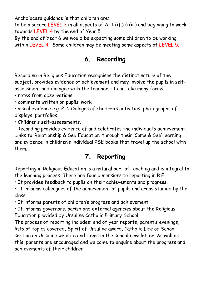Archdiocese guidance is that children are:

to be a secure LEVEL 3 in all aspects of AT1 (i) (ii) (iii) and beginning to work towards LEVEL 4 by the end of Year 5.

By the end of Year 6 we would be expecting some children to be working within LEVEL 4. Some children may be meeting some aspects of LEVEL 5.

## **6. Recording**

Recording in Religious Education recognises the distinct nature of the subject, provides evidence of achievement and may involve the pupils in selfassessment and dialogue with the teacher. It can take many forms:

• notes from observations

• comments written on pupils' work

• visual evidence e.g. PIC Collages of children's activities, photographs of displays, portfolios.

• Children's self-assessments.

Recording provides evidence of and celebrates the individual's achievement. Links to 'Relationship & Sex Education' through their 'Come & See' learning are evidence in children's individual RSE books that travel up the school with them.

## **7. Reporting**

Reporting in Religious Education is a natural part of teaching and is integral to the learning process. There are four dimensions to reporting in R.E.

• It provides feedback to pupils on their achievements and progress.

• It informs colleagues of the achievement of pupils and areas studied by the class.

• It informs parents of children's progress and achievement.

• It informs governors, parish and external agencies about the Religious Education provided by Ursuline Catholic Primary School.

The process of reporting includes: end of year reports, parent's evenings, lists of topics covered, Spirit of Ursuline award, Catholic Life of School section on Ursuline website and items in the school newsletter. As well as this, parents are encouraged and welcome to enquire about the progress and achievements of their children.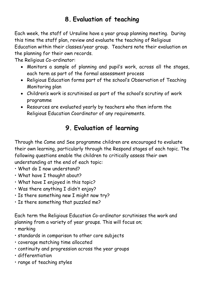## **8. Evaluation of teaching**

Each week, the staff of Ursuline have a year group planning meeting. During this time the staff plan, review and evaluate the teaching of Religious Education within their classes/year group. Teachers note their evaluation on the planning for their own records.

The Religious Co-ordinator:

- Monitors a sample of planning and pupil's work, across all the stages, each term as part of the formal assessment process
- Religious Education forms part of the school's Observation of Teaching Monitoring plan
- Children's work is scrutinised as part of the school's scrutiny of work programme
- Resources are evaluated yearly by teachers who then inform the Religious Education Coordinator of any requirements.

## **9. Evaluation of learning**

Through the Come and See programme children are encouraged to evaluate their own learning, particularly through the Respond stages of each topic. The following questions enable the children to critically assess their own understanding at the end of each topic:

- What do I now understand?
- What have I thought about?
- What have I enjoyed in this topic?
- Was there anything I didn't enjoy?
- Is there something new I might now try?
- Is there something that puzzled me?

Each term the Religious Education Co-ordinator scrutinises the work and planning from a variety of year groups. This will focus on;

- marking
- standards in comparison to other core subjects
- coverage matching time allocated
- continuity and progression across the year groups
- differentiation
- range of teaching styles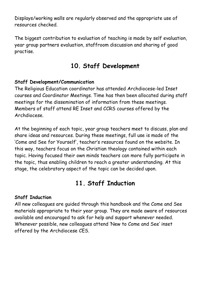Displays/working walls are regularly observed and the appropriate use of resources checked.

The biggest contribution to evaluation of teaching is made by self evaluation, year group partners evaluation, staffroom discussion and sharing of good practise.

## **10. Staff Development**

#### **Staff Development/Communication**

The Religious Education coordinator has attended Archdiocese-led Inset courses and Coordinator Meetings. Time has then been allocated during staff meetings for the dissemination of information from these meetings. Members of staff attend RE Inset and CCRS courses offered by the Archdiocese.

At the beginning of each topic, year group teachers meet to discuss, plan and share ideas and resources. During these meetings, full use is made of the 'Come and See for Yourself', teacher's resources found on the website. In this way, teachers focus on the Christian theology contained within each topic. Having focused their own minds teachers can more fully participate in the topic, thus enabling children to reach a greater understanding. At this stage, the celebratory aspect of the topic can be decided upon.

## **11. Staff Induction**

#### **Staff Induction**

All new colleagues are guided through this handbook and the Come and See materials appropriate to their year group. They are made aware of resources available and encouraged to ask for help and support whenever needed. Whenever possible, new colleagues attend 'New to Come and See' inset offered by the Archdiocese CES.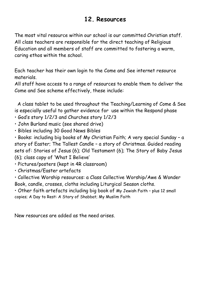## **12. Resources**

The most vital resource within our school is our committed Christian staff. All class teachers are responsible for the direct teaching of Religious Education and all members of staff are committed to fostering a warm, caring ethos within the school.

Each teacher has their own login to the Come and See internet resource materials.

All staff have access to a range of resources to enable them to deliver the Come and See scheme effectively, these include:

 A class tablet to be used throughout the Teaching/Learning of Come & See is especially useful to gather evidence for use within the Respond phase

- God's story 1/2/3 and Churches story 1/2/3
- John Burland music (see shared drive)
- Bibles including 30 Good News Bibles

• Books: including big books of My Christian Faith; A very special Sunday – a story of Easter; The Tallest Candle – a story of Christmas. Guided reading sets of: Stories of Jesus (6); Old Testament (6); The Story of Baby Jesus (6); class copy of 'What I Believe'

• Pictures/posters (kept in 4R classroom)

• Christmas/Easter artefacts

• Collective Worship resources: a Class Collective Worship/Awe & Wonder Book, candle, crosses, cloths including Liturgical Season cloths.

• Other faith artefacts including big book of My Jewish Faith – plus 12 small copies; A Day to Rest: A Story of Shabbat; My Muslim Faith

New resources are added as the need arises.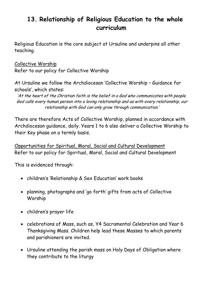## **13. Relationship of Religious Education to the whole curriculum**

Religious Education is the core subject at Ursuline and underpins all other teaching.

Collective Worship Refer to our policy for Collective Worship

At Ursuline we follow the Archdiocesan 'Collective Worship – Guidance for schools', which states:

'At the heart of the Christian faith is the belief in a God who communicates with people. God calls every human person into a loving relationship and as with every relationship, our relationship with God can only grow through communication.'

There are therefore Acts of Collective Worship, planned in accordance with Archdiocesan guidance, daily. Years 1 to 6 also deliver a Collective Worship to their Key phase on a termly basis.

Opportunities for Spiritual, Moral, Social and Cultural Development Refer to our policy for Spiritual, Moral, Social and Cultural Development

This is evidenced through:

- children's 'Relationship & Sex Education' work books
- planning, photographs and 'go forth' gifts from acts of Collective Worship
- children's prayer life
- celebrations of Mass, such as, Y4 Sacramental Celebration and Year 6 Thanksgiving Mass. Children help lead these Masses to which parents and parishioners are invited.
- Ursuline attending the parish mass on Holy Days of Obligation where they contribute to the liturgy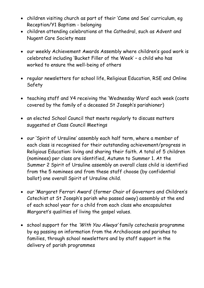- children visiting church as part of their 'Come and See' curriculum, eg Reception/Y1 Baptism - belonging
- children attending celebrations at the Cathedral, such as Advent and Nugent Care Society mass
- our weekly Achievement Awards Assembly where children's good work is celebrated including 'Bucket Filler of the Week' – a child who has worked to ensure the well-being of others
- regular newsletters for school life, Religious Education, RSE and Online Safety
- teaching staff and Y4 receiving the 'Wednesday Word' each week (costs covered by the family of a deceased St Joseph's parishioner)
- an elected School Council that meets regularly to discuss matters suggested at Class Council Meetings
- our 'Spirit of Ursuline' assembly each half term, where a member of each class is recognised for their outstanding achievement/progress in Religious Education: living and sharing their faith. A total of 5 children (nominees) per class are identified, Autumn to Summer 1. At the Summer 2 Spirit of Ursuline assembly an overall class child is identified from the 5 nominees and from these staff choose (by confidential ballot) one overall Spirit of Ursuline child.
- our 'Margaret Ferrari Award' (former Chair of Governors and Children's Catechist at St Joseph's parish who passed away) assembly at the end of each school year for a child from each class who encapsulates Margaret's qualities of living the gospel values.
- school support for the 'With You Always' family catechesis programme by eg passing on information from the Archdiocese and parishes to families, through school newsletters and by staff support in the delivery of parish programmes